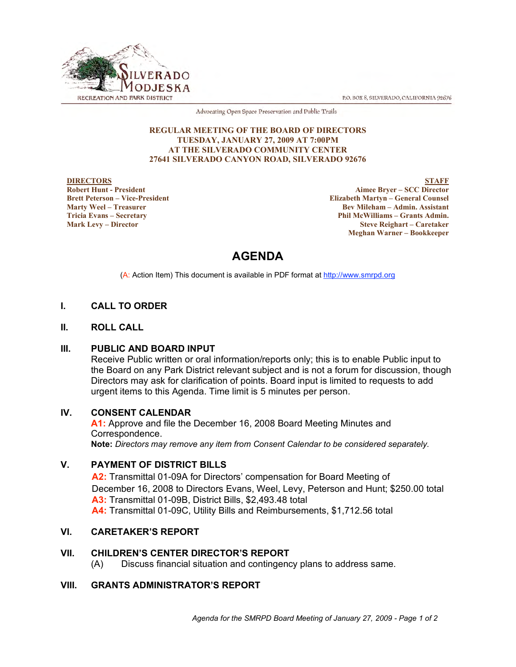P.O. BOX 8, SILVERADO, CALIFORNIA 92676



Advocating Open Space Preservation and Public Trails

#### **REGULAR MEETING OF THE BOARD OF DIRECTORS TUESDAY, JANUARY 27, 2009 AT 7:00PM AT THE SILVERADO COMMUNITY CENTER 27641 SILVERADO CANYON ROAD, SILVERADO 92676**

#### **DIRECTORS Robert Hunt - President Brett Peterson – Vice-President Marty Weel – Treasurer Tricia Evans – Secretary Mark Levy – Director**

**STAFF Aimee Bryer – SCC Director Elizabeth Martyn – General Counsel Bev Mileham – Admin. Assistant Phil McWilliams – Grants Admin. Steve Reighart – Caretaker Meghan Warner – Bookkeeper**

# **AGENDA**

(A: Action Item) This document is available in PDF format at http://www.smrpd.org

# **I. CALL TO ORDER**

## **II. ROLL CALL**

### **III. PUBLIC AND BOARD INPUT**

Receive Public written or oral information/reports only; this is to enable Public input to the Board on any Park District relevant subject and is not a forum for discussion, though Directors may ask for clarification of points. Board input is limited to requests to add urgent items to this Agenda. Time limit is 5 minutes per person.

# **IV. CONSENT CALENDAR**

**A1:** Approve and file the December 16, 2008 Board Meeting Minutes and Correspondence. **Note:** *Directors may remove any item from Consent Calendar to be considered separately.*

# **V. PAYMENT OF DISTRICT BILLS**

**A2:** Transmittal 01-09A for Directors' compensation for Board Meeting of December 16, 2008 to Directors Evans, Weel, Levy, Peterson and Hunt; \$250.00 total **A3:** Transmittal 01-09B, District Bills, \$2,493.48 total **A4:** Transmittal 01-09C, Utility Bills and Reimbursements, \$1,712.56 total

# **VI. CARETAKER'S REPORT**

# **VII. CHILDREN'S CENTER DIRECTOR'S REPORT**

(A) Discuss financial situation and contingency plans to address same.

# **VIII. GRANTS ADMINISTRATOR'S REPORT**